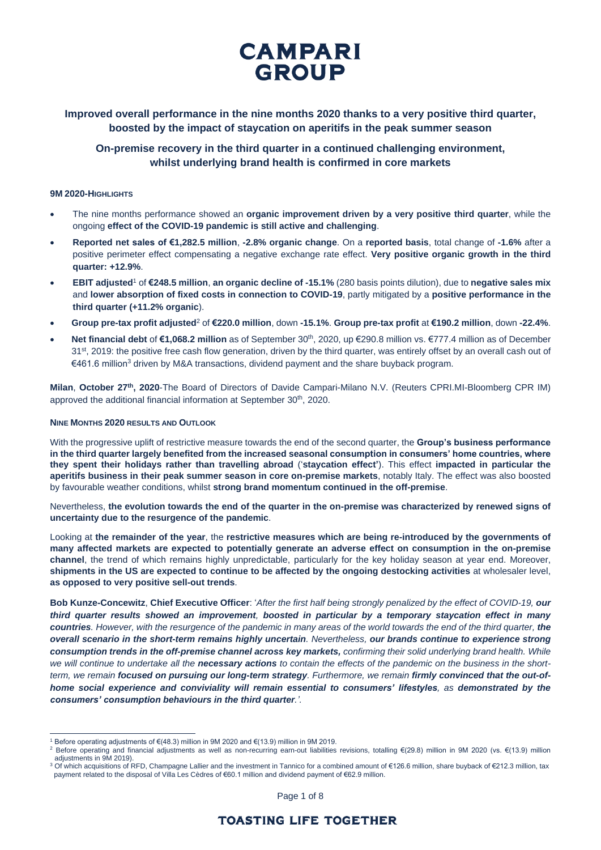

**Improved overall performance in the nine months 2020 thanks to a very positive third quarter, boosted by the impact of staycation on aperitifs in the peak summer season**

## **On-premise recovery in the third quarter in a continued challenging environment, whilst underlying brand health is confirmed in core markets**

## **9M 2020-HIGHLIGHTS**

- The nine months performance showed an **organic improvement driven by a very positive third quarter**, while the ongoing **effect of the COVID-19 pandemic is still active and challenging**.
- **Reported net sales of €1,282.5 million**, **-2.8% organic change**. On a **reported basis**, total change of **-1.6%** after a positive perimeter effect compensating a negative exchange rate effect. **Very positive organic growth in the third quarter: +12.9%**.
- **EBIT adjusted**<sup>1</sup> of **€248.5 million**, **an organic decline of -15.1%** (280 basis points dilution), due to **negative sales mix**  and **lower absorption of fixed costs in connection to COVID-19**, partly mitigated by a **positive performance in the third quarter (+11.2% organic**).
- **Group pre-tax profit adjusted**<sup>2</sup> of **€220.0 million**, down **-15.1%**. **Group pre-tax profit** at **€190.2 million**, down **-22.4%**.
- Net financial debt of €1,068.2 million as of September 30<sup>th</sup>, 2020, up €290.8 million vs. €777.4 million as of December 31<sup>st</sup>, 2019: the positive free cash flow generation, driven by the third quarter, was entirely offset by an overall cash out of €461.6 million<sup>3</sup> driven by M&A transactions, dividend payment and the share buyback program.

**Milan**, **October 27th, 2020**-The Board of Directors of Davide Campari-Milano N.V. (Reuters CPRI.MI-Bloomberg CPR IM) approved the additional financial information at September 30<sup>th</sup>, 2020.

### **NINE MONTHS 2020 RESULTS AND OUTLOOK**

With the progressive uplift of restrictive measure towards the end of the second quarter, the **Group's business performance in the third quarter largely benefited from the increased seasonal consumption in consumers' home countries, where they spent their holidays rather than travelling abroad** ('**staycation effect'**). This effect **impacted in particular the aperitifs business in their peak summer season in core on-premise markets**, notably Italy. The effect was also boosted by favourable weather conditions, whilst **strong brand momentum continued in the off-premise**.

Nevertheless, **the evolution towards the end of the quarter in the on-premise was characterized by renewed signs of uncertainty due to the resurgence of the pandemic**.

Looking at **the remainder of the year**, the **restrictive measures which are being re-introduced by the governments of many affected markets are expected to potentially generate an adverse effect on consumption in the on-premise channel**, the trend of which remains highly unpredictable, particularly for the key holiday season at year end. Moreover, **shipments in the US are expected to continue to be affected by the ongoing destocking activities** at wholesaler level, **as opposed to very positive sell-out trends**.

**Bob Kunze-Concewitz**, **Chief Executive Officer**: '*After the first half being strongly penalized by the effect of COVID-19, our third quarter results showed an improvement, boosted in particular by a temporary staycation effect in many countries. However, with the resurgence of the pandemic in many areas of the world towards the end of the third quarter, the overall scenario in the short-term remains highly uncertain. Nevertheless, our brands continue to experience strong consumption trends in the off-premise channel across key markets, confirming their solid underlying brand health. While we will continue to undertake all the necessary actions to contain the effects of the pandemic on the business in the shortterm, we remain focused on pursuing our long-term strategy. Furthermore, we remain firmly convinced that the out-ofhome social experience and conviviality will remain essential to consumers' lifestyles, as demonstrated by the consumers' consumption behaviours in the third quarter.'.*

Before operating adjustments of €(48.3) million in 9M 2020 and €(13.9) million in 9M 2019.

<sup>2</sup> Before operating and financial adjustments as well as non-recurring earn-out liabilities revisions, totalling €(29.8) million in 9M 2020 (vs. €(13.9) million adjustments in 9M 2019).

<sup>3</sup> Of which acquisitions of RFD, Champagne Lallier and the investment in Tannico for a combined amount of €126.6 million, share buyback of €212.3 million, tax payment related to the disposal of Villa Les Cèdres of €60.1 million and dividend payment of €62.9 million.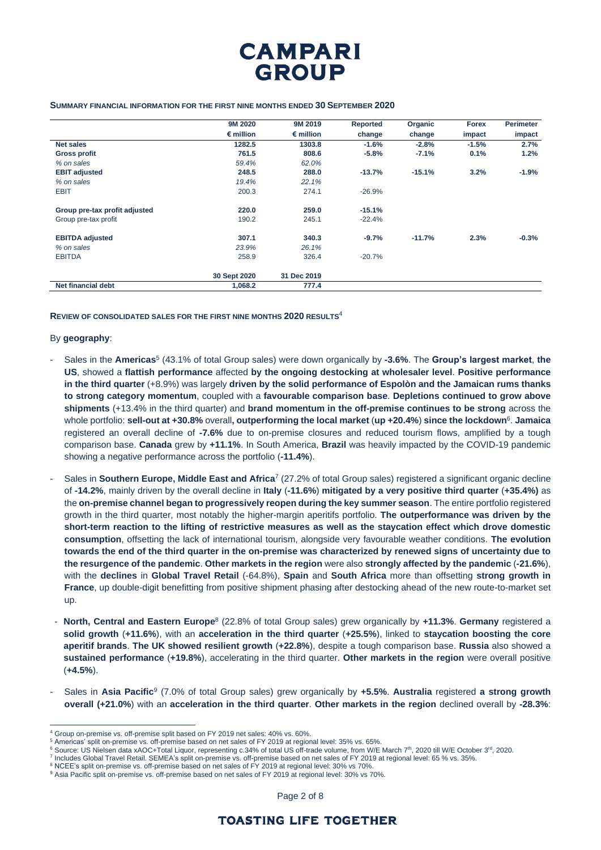

#### **SUMMARY FINANCIAL INFORMATION FOR THE FIRST NINE MONTHS ENDED 30 SEPTEMBER 2020**

|                               | 9M 2020            | 9M 2019            | Reported | Organic  | <b>Forex</b> | <b>Perimeter</b> |
|-------------------------------|--------------------|--------------------|----------|----------|--------------|------------------|
|                               | $\epsilon$ million | $\epsilon$ million | change   | change   | impact       | impact           |
| <b>Net sales</b>              | 1282.5             | 1303.8             | $-1.6%$  | $-2.8%$  | $-1.5%$      | 2.7%             |
| <b>Gross profit</b>           | 761.5              | 808.6              | $-5.8%$  | $-7.1%$  | 0.1%         | 1.2%             |
| % on sales                    | 59.4%              | 62.0%              |          |          |              |                  |
| <b>EBIT adjusted</b>          | 248.5              | 288.0              | $-13.7%$ | $-15.1%$ | 3.2%         | $-1.9%$          |
| % on sales                    | 19.4%              | 22.1%              |          |          |              |                  |
| <b>EBIT</b>                   | 200.3              | 274.1              | $-26.9%$ |          |              |                  |
| Group pre-tax profit adjusted | 220.0              | 259.0              | $-15.1%$ |          |              |                  |
| Group pre-tax profit          | 190.2              | 245.1              | $-22.4%$ |          |              |                  |
| <b>EBITDA</b> adjusted        | 307.1              | 340.3              | $-9.7%$  | $-11.7%$ | 2.3%         | $-0.3%$          |
| % on sales                    | 23.9%              | 26.1%              |          |          |              |                  |
| <b>EBITDA</b>                 | 258.9              | 326.4              | $-20.7%$ |          |              |                  |
|                               | 30 Sept 2020       | 31 Dec 2019        |          |          |              |                  |
| <b>Net financial debt</b>     | 1,068.2            | 777.4              |          |          |              |                  |

**REVIEW OF CONSOLIDATED SALES FOR THE FIRST NINE MONTHS 2020 RESULTS**<sup>4</sup>

## By **geography**:

- Sales in the **Americas**<sup>5</sup> (43.1% of total Group sales) were down organically by **-3.6%**. The **Group's largest market**, **the US**, showed a **flattish performance** affected **by the ongoing destocking at wholesaler level**. **Positive performance in the third quarter** (+8.9%) was largely **driven by the solid performance of Espolòn and the Jamaican rums thanks to strong category momentum**, coupled with a **favourable comparison base**. **Depletions continued to grow above shipments** (+13.4% in the third quarter) and **brand momentum in the off-premise continues to be strong** across the whole portfolio: **sell-out at +30.8%** overall**, outperforming the local market** (**up +20.4%**) **since the lockdown**<sup>6</sup> . **Jamaica** registered an overall decline of **-7.6%** due to on-premise closures and reduced tourism flows, amplified by a tough comparison base. **Canada** grew by **+11.1%**. In South America, **Brazil** was heavily impacted by the COVID-19 pandemic showing a negative performance across the portfolio (**-11.4%**).
- Sales in **Southern Europe, Middle East and Africa**<sup>7</sup> (27.2% of total Group sales) registered a significant organic decline of **-14.2%**, mainly driven by the overall decline in **Italy** (**-11.6%**) **mitigated by a very positive third quarter** (**+35.4%)** as the **on-premise channel began to progressively reopen during the key summer season**. The entire portfolio registered growth in the third quarter, most notably the higher-margin aperitifs portfolio. **The outperformance was driven by the short-term reaction to the lifting of restrictive measures as well as the staycation effect which drove domestic consumption**, offsetting the lack of international tourism, alongside very favourable weather conditions. **The evolution towards the end of the third quarter in the on-premise was characterized by renewed signs of uncertainty due to the resurgence of the pandemic**. **Other markets in the region** were also **strongly affected by the pandemic** (**-21.6%**), with the **declines** in **Global Travel Retail** (-64.8%), **Spain** and **South Africa** more than offsetting **strong growth in France**, up double-digit benefitting from positive shipment phasing after destocking ahead of the new route-to-market set up.
- **North, Central and Eastern Europe**<sup>8</sup> (22.8% of total Group sales) grew organically by **+11.3%**. **Germany** registered a **solid growth** (**+11.6%**), with an **acceleration in the third quarter** (**+25.5%**), linked to **staycation boosting the core aperitif brands**. **The UK showed resilient growth** (**+22.8%**), despite a tough comparison base. **Russia** also showed a **sustained performance** (**+19.8%**), accelerating in the third quarter. **Other markets in the region** were overall positive (**+4.5%**).
- Sales in **Asia Pacific**<sup>9</sup> (7.0% of total Group sales) grew organically by **+5.5%**. **Australia** registered **a strong growth overall (+21.0%**) with an **acceleration in the third quarter**. **Other markets in the region** declined overall by **-28.3%**:

Page 2 of 8

<sup>4</sup> Group on-premise vs. off-premise split based on FY 2019 net sales: 40% vs. 60%.

<sup>5</sup> Americas' split on-premise vs. off-premise based on net sales of FY 2019 at regional level: 35% vs. 65%.

 $^6$  Source: US Nielsen data xAOC+Total Liquor, representing c.34% of total US off-trade volume, from W/E March 7th, 2020 till W/E October 3rd, 2020.

<sup>7</sup> Includes Global Travel Retail. SEMEA's split on-premise vs. off-premise based on net sales of FY 2019 at regional level: 65 % vs. 35%.

<sup>&</sup>lt;sup>8</sup> NCEE's split on-premise vs. off-premise based on net sales of FY 2019 at regional level: 30% vs 70%

<sup>9</sup> Asia Pacific split on-premise vs. off-premise based on net sales of FY 2019 at regional level: 30% vs 70%.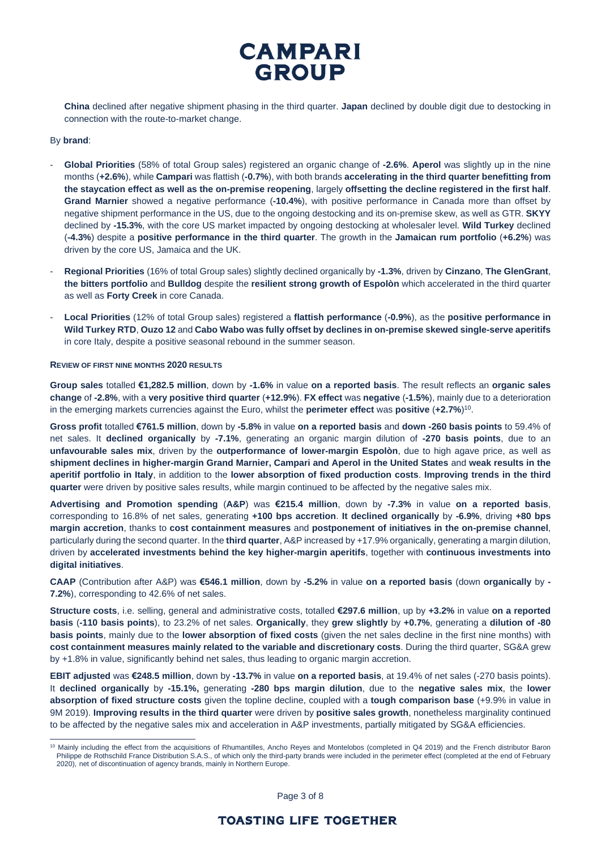

**China** declined after negative shipment phasing in the third quarter. **Japan** declined by double digit due to destocking in connection with the route-to-market change.

## By **brand**:

- **Global Priorities** (58% of total Group sales) registered an organic change of **-2.6%**. **Aperol** was slightly up in the nine months (**+2.6%**), while **Campari** was flattish (**-0.7%**), with both brands **accelerating in the third quarter benefitting from the staycation effect as well as the on-premise reopening**, largely **offsetting the decline registered in the first half**. **Grand Marnier** showed a negative performance (**-10.4%**), with positive performance in Canada more than offset by negative shipment performance in the US, due to the ongoing destocking and its on-premise skew, as well as GTR. **SKYY** declined by **-15.3%**, with the core US market impacted by ongoing destocking at wholesaler level. **Wild Turkey** declined (**-4.3%**) despite a **positive performance in the third quarter**. The growth in the **Jamaican rum portfolio** (**+6.2%**) was driven by the core US, Jamaica and the UK.
- **Regional Priorities** (16% of total Group sales) slightly declined organically by **-1.3%**, driven by **Cinzano**, **The GlenGrant**, **the bitters portfolio** and **Bulldog** despite the **resilient strong growth of Espolòn** which accelerated in the third quarter as well as **Forty Creek** in core Canada.
- **Local Priorities** (12% of total Group sales) registered a **flattish performance** (**-0.9%**), as the **positive performance in Wild Turkey RTD**, **Ouzo 12** and **Cabo Wabo was fully offset by declines in on-premise skewed single-serve aperitifs**  in core Italy, despite a positive seasonal rebound in the summer season.

#### **REVIEW OF FIRST NINE MONTHS 2020 RESULTS**

**Group sales** totalled **€1,282.5 million**, down by **-1.6%** in value **on a reported basis**. The result reflects an **organic sales change** of **-2.8%**, with a **very positive third quarter** (**+12.9%**). **FX effect** was **negative** (**-1.5%**), mainly due to a deterioration in the emerging markets currencies against the Euro, whilst the **perimeter effect** was **positive** (**+2.7%**) 10 .

**Gross profit** totalled **€761.5 million**, down by **-5.8%** in value **on a reported basis** and **down -260 basis points** to 59.4% of net sales. It **declined organically** by **-7.1%**, generating an organic margin dilution of **-270 basis points**, due to an **unfavourable sales mix**, driven by the **outperformance of lower-margin Espolòn**, due to high agave price, as well as **shipment declines in higher-margin Grand Marnier, Campari and Aperol in the United States** and **weak results in the aperitif portfolio in Italy**, in addition to the **lower absorption of fixed production costs**. **Improving trends in the third quarter** were driven by positive sales results, while margin continued to be affected by the negative sales mix.

**Advertising and Promotion spending** (**A&P**) was **€215.4 million**, down by **-7.3%** in value **on a reported basis**, corresponding to 16.8% of net sales, generating **+100 bps accretion**. **It declined organically** by **-6.9%**, driving **+80 bps margin accretion**, thanks to **cost containment measures** and **postponement of initiatives in the on-premise channel**, particularly during the second quarter. In the **third quarter**, A&P increased by +17.9% organically, generating a margin dilution, driven by **accelerated investments behind the key higher-margin aperitifs**, together with **continuous investments into digital initiatives**.

**CAAP** (Contribution after A&P) was **€546.1 million**, down by **-5.2%** in value **on a reported basis** (down **organically** by **- 7.2%**), corresponding to 42.6% of net sales.

**Structure costs**, i.e. selling, general and administrative costs, totalled **€297.6 million**, up by **+3.2%** in value **on a reported basis** (**-110 basis points**), to 23.2% of net sales. **Organically**, they **grew slightly** by **+0.7%**, generating a **dilution of -80 basis points**, mainly due to the **lower absorption of fixed costs** (given the net sales decline in the first nine months) with **cost containment measures mainly related to the variable and discretionary costs**. During the third quarter, SG&A grew by +1.8% in value, significantly behind net sales, thus leading to organic margin accretion.

**EBIT adjusted** was **€248.5 million**, down by **-13.7%** in value **on a reported basis**, at 19.4% of net sales (-270 basis points). It **declined organically** by **-15.1%,** generating **-280 bps margin dilution**, due to the **negative sales mix**, the **lower absorption of fixed structure costs** given the topline decline, coupled with a **tough comparison base** (+9.9% in value in 9M 2019). **Improving results in the third quarter** were driven by **positive sales growth**, nonetheless marginality continued to be affected by the negative sales mix and acceleration in A&P investments, partially mitigated by SG&A efficiencies.

Page 3 of 8

<sup>10</sup> Mainly including the effect from the acquisitions of Rhumantilles, Ancho Reyes and Montelobos (completed in Q4 2019) and the French distributor Baron Philippe de Rothschild France Distribution S.A.S., of which only the third-party brands were included in the perimeter effect (completed at the end of February 2020), net of discontinuation of agency brands, mainly in Northern Europe.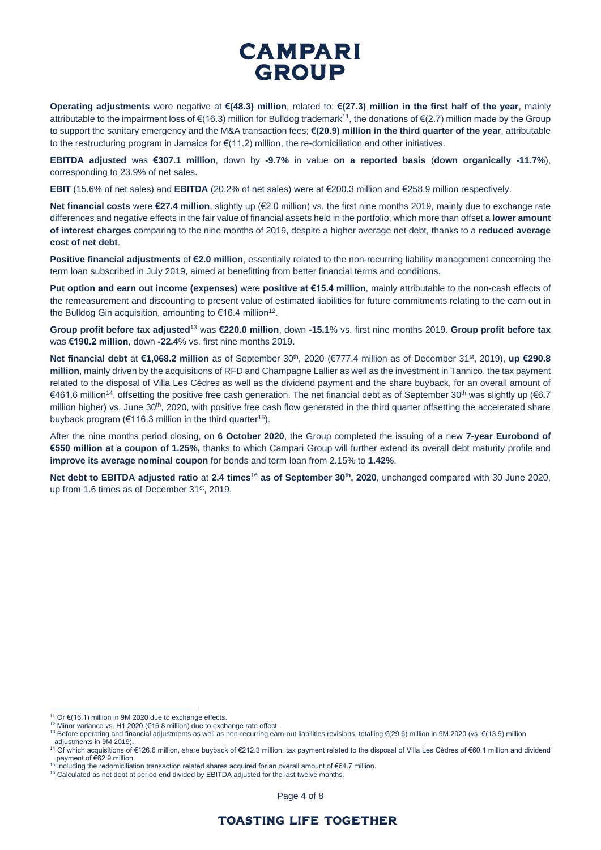# **CAMPARI GROUP**

**Operating adjustments** were negative at **€(48.3) million**, related to: **€(27.3) million in the first half of the year**, mainly attributable to the impairment loss of  $\epsilon(16.3)$  million for Bulldog trademark<sup>11</sup>, the donations of  $\epsilon(2.7)$  million made by the Group to support the sanitary emergency and the M&A transaction fees; **€(20.9) million in the third quarter of the year**, attributable to the restructuring program in Jamaica for €(11.2) million, the re-domiciliation and other initiatives.

**EBITDA adjusted** was **€307.1 million**, down by **-9.7%** in value **on a reported basis** (**down organically -11.7%**), corresponding to 23.9% of net sales.

**EBIT** (15.6% of net sales) and **EBITDA** (20.2% of net sales) were at €200.3 million and €258.9 million respectively.

**Net financial costs** were **€27.4 million**, slightly up (€2.0 million) vs. the first nine months 2019, mainly due to exchange rate differences and negative effects in the fair value of financial assets held in the portfolio, which more than offset a **lower amount of interest charges** comparing to the nine months of 2019, despite a higher average net debt, thanks to a **reduced average cost of net debt**.

**Positive financial adjustments** of **€2.0 million**, essentially related to the non-recurring liability management concerning the term loan subscribed in July 2019, aimed at benefitting from better financial terms and conditions.

**Put option and earn out income (expenses)** were **positive at €15.4 million**, mainly attributable to the non-cash effects of the remeasurement and discounting to present value of estimated liabilities for future commitments relating to the earn out in the Bulldog Gin acquisition, amounting to €16.4 million<sup>12</sup>.

**Group profit before tax adjusted**<sup>13</sup> was **€220.0 million**, down **-15.1**% vs. first nine months 2019. **Group profit before tax**  was **€190.2 million**, down **-22.4**% vs. first nine months 2019.

Net financial debt at €1,068.2 million as of September 30<sup>th</sup>, 2020 (€777.4 million as of December 31<sup>st</sup>, 2019), up €290.8 **million**, mainly driven by the acquisitions of RFD and Champagne Lallier as well as the investment in Tannico, the tax payment related to the disposal of Villa Les Cèdres as well as the dividend payment and the share buyback, for an overall amount of €461.6 million<sup>14</sup>, offsetting the positive free cash generation. The net financial debt as of September 30th was slightly up (€6.7 million higher) vs. June 30<sup>th</sup>, 2020, with positive free cash flow generated in the third quarter offsetting the accelerated share buyback program ( $\epsilon$ 116.3 million in the third quarter<sup>15</sup>).

After the nine months period closing, on **6 October 2020**, the Group completed the issuing of a new **7-year Eurobond of €550 million at a coupon of 1.25%,** thanks to which Campari Group will further extend its overall debt maturity profile and **improve its average nominal coupon** for bonds and term loan from 2.15% to **1.42%**.

**Net debt to EBITDA adjusted ratio** at **2.4 times**<sup>16</sup> **as of September 30th , 2020**, unchanged compared with 30 June 2020, up from 1.6 times as of December 31<sup>st</sup>, 2019.

Page 4 of 8

<sup>11</sup> Or €(16.1) million in 9M 2020 due to exchange effects.

<sup>12</sup> Minor variance vs. H1 2020 (€16.8 million) due to exchange rate effect.

<sup>&</sup>lt;sup>13</sup> Before operating and financial adjustments as well as non-recurring earn-out liabilities revisions, totalling €(29.6) million in 9M 2020 (vs. €(13.9) million

adjustments in 9M 2019).<br><sup>14</sup> Of which acquisitions of €126.6 million, share buyback of €212.3 million, tax payment related to the disposal of Villa Les Cèdres of €60.1 million and dividend payment of €62.9 million.

<sup>15</sup> Including the redomiciliation transaction related shares acquired for an overall amount of €64.7 million.

<sup>&</sup>lt;sup>16</sup> Calculated as net debt at period end divided by EBITDA adjusted for the last twelve months.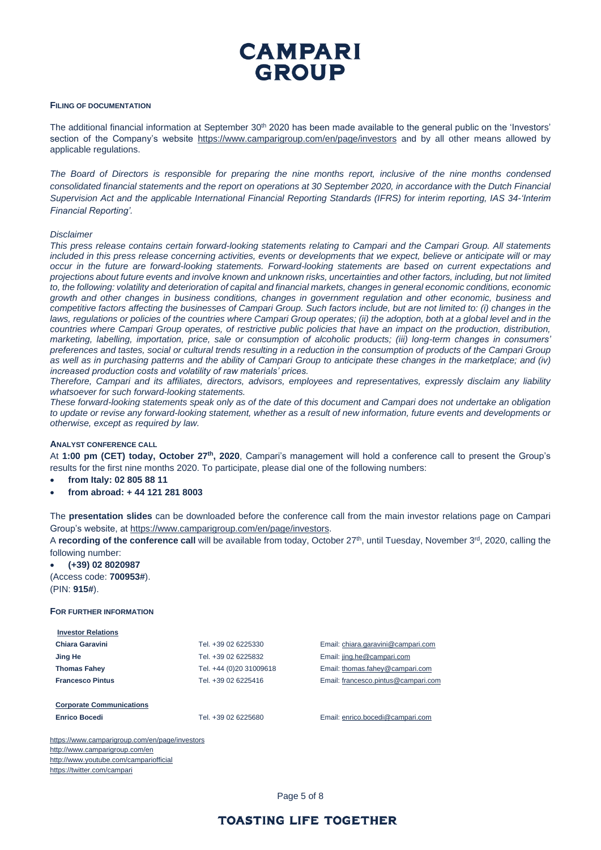## **CAMPARI GROUP**

## **FILING OF DOCUMENTATION**

The additional financial information at September 30<sup>th</sup> 2020 has been made available to the general public on the 'Investors' section of the Company's website <https://www.camparigroup.com/en/page/investors> and by all other means allowed by applicable regulations.

*The Board of Directors is responsible for preparing the nine months report, inclusive of the nine months condensed consolidated financial statements and the report on operations at 30 September 2020, in accordance with the Dutch Financial Supervision Act and the applicable International Financial Reporting Standards (IFRS) for interim reporting, IAS 34-'Interim Financial Reporting'.*

#### *Disclaimer*

*This press release contains certain forward-looking statements relating to Campari and the Campari Group. All statements*  included in this press release concerning activities, events or developments that we expect, believe or anticipate will or may *occur in the future are forward-looking statements. Forward-looking statements are based on current expectations and projections about future events and involve known and unknown risks, uncertainties and other factors, including, but not limited to, the following: volatility and deterioration of capital and financial markets, changes in general economic conditions, economic growth and other changes in business conditions, changes in government regulation and other economic, business and competitive factors affecting the businesses of Campari Group. Such factors include, but are not limited to: (i) changes in the laws, regulations or policies of the countries where Campari Group operates; (ii) the adoption, both at a global level and in the countries where Campari Group operates, of restrictive public policies that have an impact on the production, distribution, marketing, labelling, importation, price, sale or consumption of alcoholic products; (iii) long-term changes in consumers' preferences and tastes, social or cultural trends resulting in a reduction in the consumption of products of the Campari Group*  as well as in purchasing patterns and the ability of Campari Group to anticipate these changes in the marketplace; and (iv) *increased production costs and volatility of raw materials' prices.*

*Therefore, Campari and its affiliates, directors, advisors, employees and representatives, expressly disclaim any liability whatsoever for such forward-looking statements.*

*These forward-looking statements speak only as of the date of this document and Campari does not undertake an obligation to update or revise any forward-looking statement, whether as a result of new information, future events and developments or otherwise, except as required by law.*

## **ANALYST CONFERENCE CALL**

At **1:00 pm (CET) today, October 27th, 2020**, Campari's management will hold a conference call to present the Group's results for the first nine months 2020. To participate, please dial one of the following numbers:

- **from Italy: 02 805 88 11**
- **from abroad: + 44 121 281 8003**

The **presentation slides** can be downloaded before the conference call from the main investor relations page on Campari Group's website, at [https://www.camparigroup.com/en/page/investors.](https://www.camparigroup.com/en/page/investors)

A **recording of the conference call** will be available from today, October 27<sup>th</sup>, until Tuesday, November 3<sup>rd</sup>, 2020, calling the following number:

• **(+39) 02 8020987**  (Access code: **700953#**). (PIN: **915#**).

#### **FOR FURTHER INFORMATION**

| <b>Investor Relations</b> |                         |
|---------------------------|-------------------------|
| Chiara Garavini           | Tel. +39 02 6225330     |
| Jing He                   | Tel. +39 02 6225832     |
| <b>Thomas Fahey</b>       | Tel. +44 (0)20 31009618 |
| <b>Francesco Pintus</b>   | Tel. +39 02 6225416     |
|                           |                         |

**Corporate Communications**

**Enrico Bocedi** Tel. +39 02 6225680 Email[: enrico.bocedi@campari.com](mailto:enrico.bocedi@campari.com)

Email[: chiara.garavini@campari.com](mailto:chiara.garavini@campari.com) Email[: jing.he@campari.com](mailto:jing.he@campari.com) **Email:** thomas.fahey@campari.com **Email[: francesco.pintus@campari.com](mailto:francesco.pintus@campari.com)** 

<https://www.camparigroup.com/en/page/investors> http://www.camparigroup.com/en <http://www.youtube.com/campariofficial> <https://twitter.com/campari>

Page 5 of 8

## **TOASTING LIFE TOGETHER**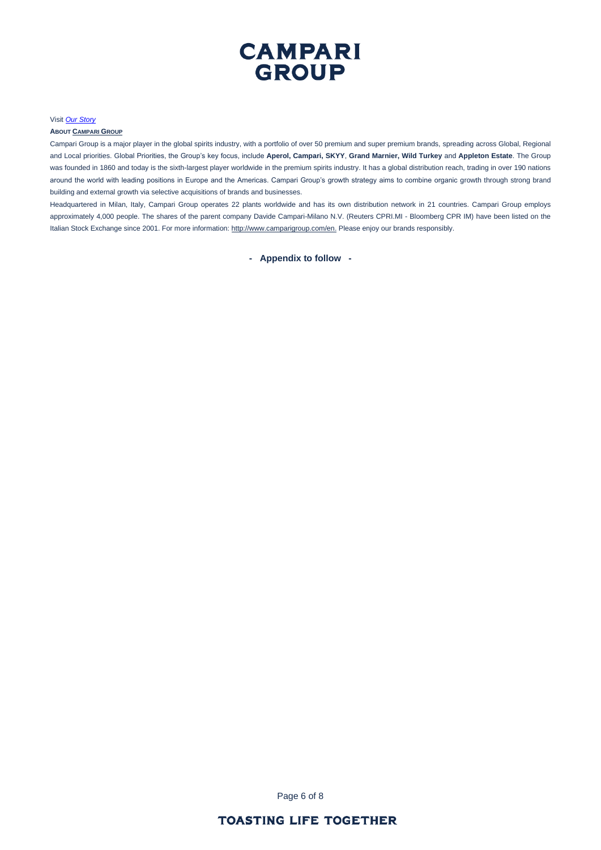

#### Visit *[Our Story](https://youtu.be/ilNVsU9Cigo)*

#### **ABOUT C[AMPARI](https://www.camparigroup.com/en) GROUP**

Campari Group is a major player in the global spirits industry, with a portfolio of over 50 premium and super premium brands, spreading across Global, Regional and Local priorities. Global Priorities, the Group's key focus, include **Aperol, Campari, SKYY**, **Grand Marnier, Wild Turkey** and **Appleton Estate**. The Group was founded in 1860 and today is the sixth-largest player worldwide in the premium spirits industry. It has a global distribution reach, trading in over 190 nations around the world with leading positions in Europe and the Americas. Campari Group's growth strategy aims to combine organic growth through strong brand building and external growth via selective acquisitions of brands and businesses.

Headquartered in Milan, Italy, Campari Group operates 22 plants worldwide and has its own distribution network in 21 countries. Campari Group employs approximately 4,000 people. The shares of the parent company Davide Campari-Milano N.V. (Reuters CPRI.MI - Bloomberg CPR IM) have been listed on the Italian Stock Exchange since 2001. For more information[: http://www.camparigroup.com/en.](http://www.camparigroup.com/en) Please enjoy our brands responsibly.

**- Appendix to follow -**

Page 6 of 8

## **TOASTING LIFE TOGETHER**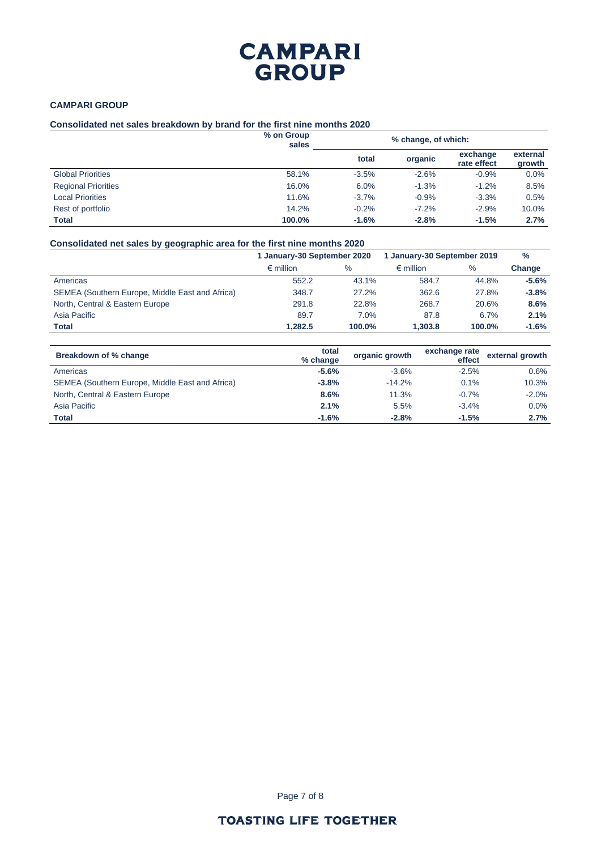## **CAMPARI GROUP**

## **CAMPARI GROUP**

## **Consolidated net sales breakdown by brand for the first nine months 2020**

|                            | % on Group<br>sales | % change, of which: |         |                         |                    |
|----------------------------|---------------------|---------------------|---------|-------------------------|--------------------|
|                            |                     | total               | organic | exchange<br>rate effect | external<br>growth |
| <b>Global Priorities</b>   | 58.1%               | $-3.5%$             | $-2.6%$ | $-0.9%$                 | 0.0%               |
| <b>Regional Priorities</b> | 16.0%               | 6.0%                | $-1.3%$ | $-1.2%$                 | 8.5%               |
| <b>Local Priorities</b>    | 11.6%               | $-3.7%$             | $-0.9%$ | $-3.3%$                 | 0.5%               |
| Rest of portfolio          | 14.2%               | $-0.2%$             | $-7.2%$ | $-2.9%$                 | 10.0%              |
| <b>Total</b>               | 100.0%              | $-1.6%$             | $-2.8%$ | $-1.5%$                 | 2.7%               |

## **Consolidated net sales by geographic area for the first nine months 2020**

|                                                 | 1 January-30 September 2020 |        | 1 January-30 September 2019 |        | $\frac{0}{0}$ |
|-------------------------------------------------|-----------------------------|--------|-----------------------------|--------|---------------|
|                                                 | $\epsilon$ million          | $\%$   | $\epsilon$ million          | $\%$   | Change        |
| Americas                                        | 552.2                       | 43.1%  | 584.7                       | 44.8%  | $-5.6\%$      |
| SEMEA (Southern Europe, Middle East and Africa) | 348.7                       | 27.2%  | 362.6                       | 27.8%  | $-3.8%$       |
| North, Central & Eastern Europe                 | 291.8                       | 22.8%  | 268.7                       | 20.6%  | 8.6%          |
| Asia Pacific                                    | 89.7                        | 7.0%   | 87.8                        | 6.7%   | 2.1%          |
| <b>Total</b>                                    | 1.282.5                     | 100.0% | 1.303.8                     | 100.0% | $-1.6\%$      |

| Breakdown of % change                           | total<br>% change | organic growth | exchange rate<br>effect | external growth |
|-------------------------------------------------|-------------------|----------------|-------------------------|-----------------|
| Americas                                        | $-5.6%$           | $-3.6%$        | $-2.5%$                 | 0.6%            |
| SEMEA (Southern Europe, Middle East and Africa) | $-3.8%$           | $-14.2%$       | 0.1%                    | 10.3%           |
| North, Central & Eastern Europe                 | 8.6%              | 11.3%          | $-0.7\%$                | $-2.0\%$        |
| Asia Pacific                                    | 2.1%              | 5.5%           | $-3.4%$                 | $0.0\%$         |
| <b>Total</b>                                    | $-1.6%$           | $-2.8%$        | $-1.5%$                 | 2.7%            |

Page 7 of 8

## **TOASTING LIFE TOGETHER**